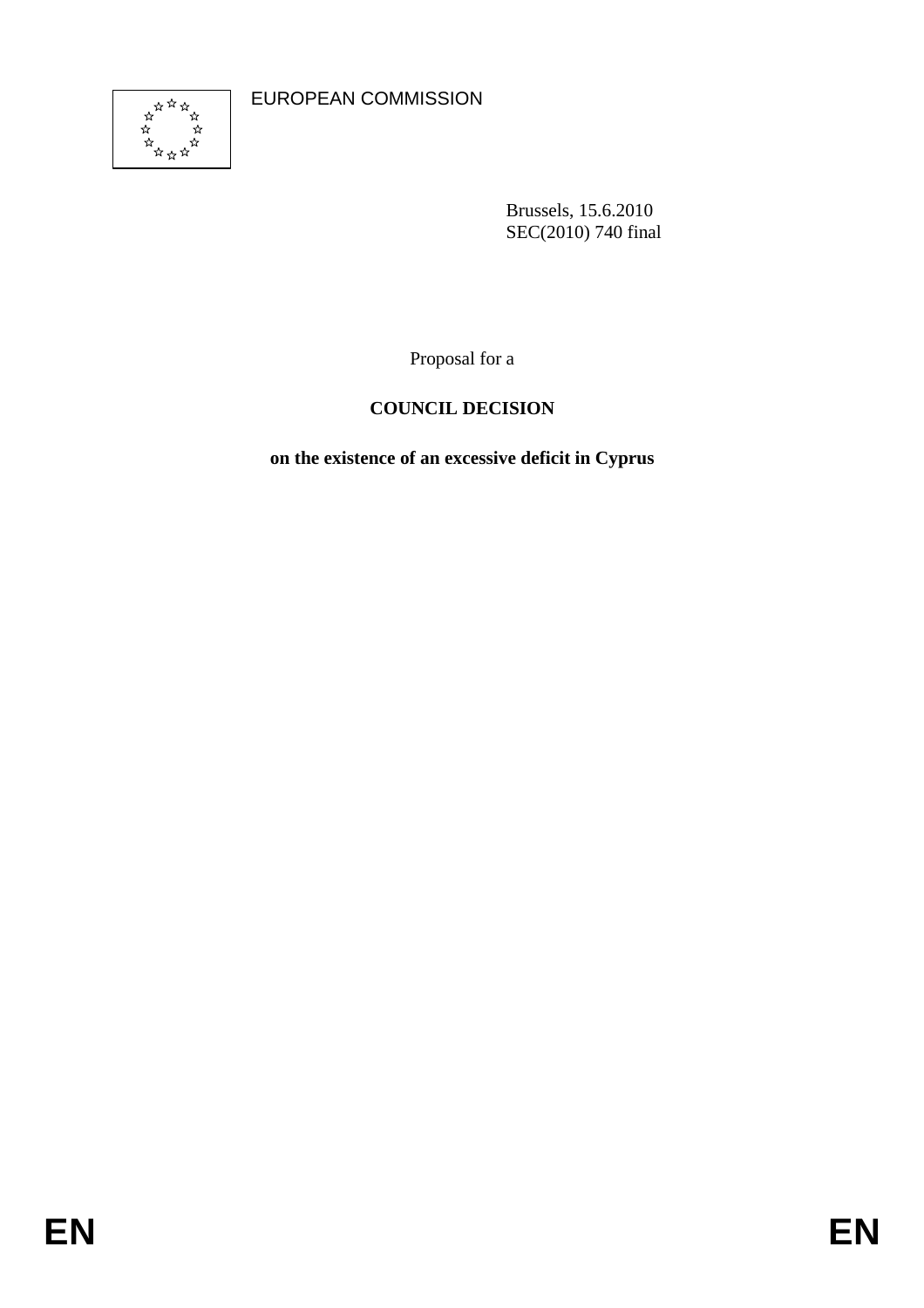EUROPEAN COMMISSION



Brussels, 15.6.2010 SEC(2010) 740 final

Proposal for a

# **COUNCIL DECISION**

**on the existence of an excessive deficit in Cyprus**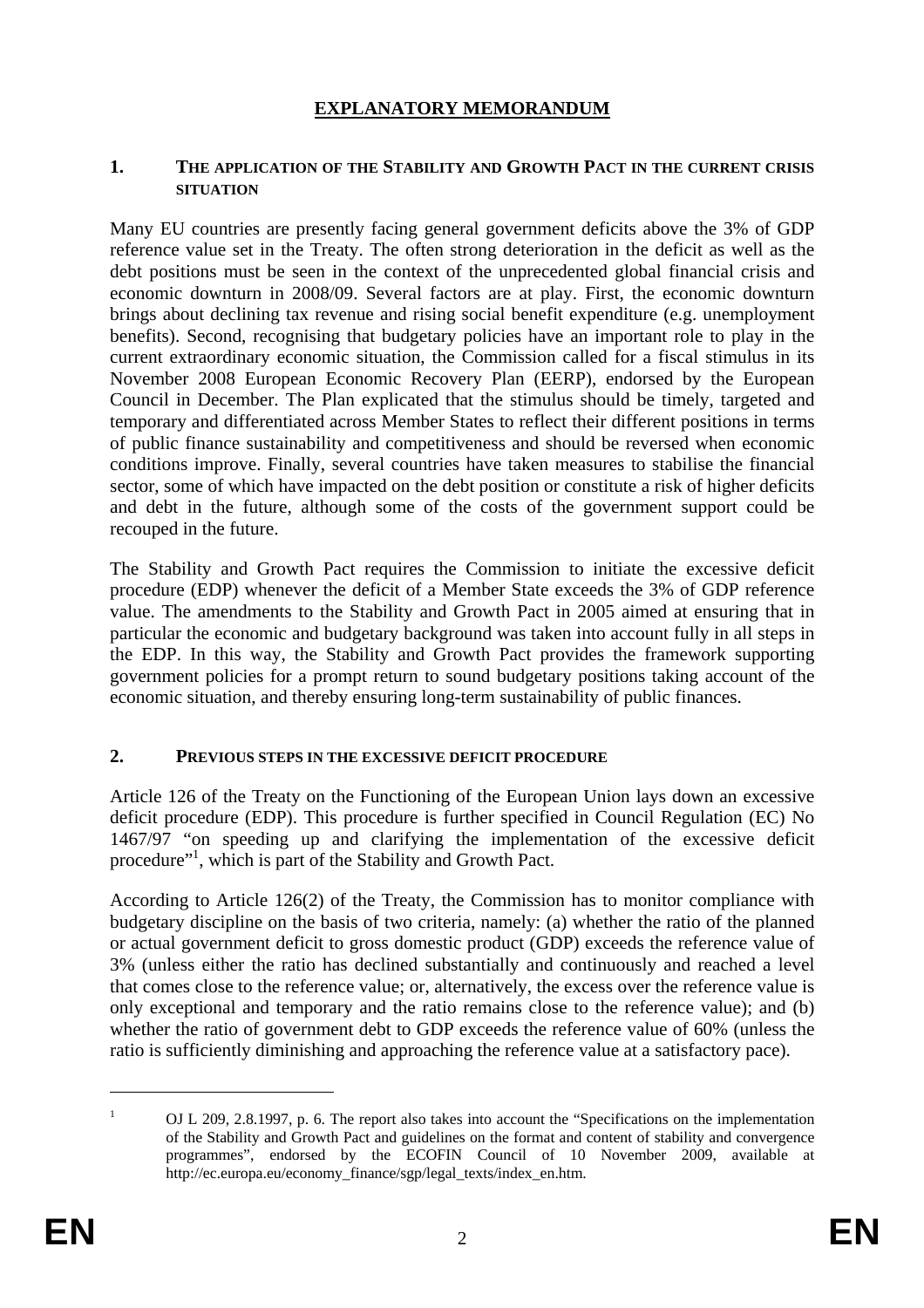# **EXPLANATORY MEMORANDUM**

#### **1. THE APPLICATION OF THE STABILITY AND GROWTH PACT IN THE CURRENT CRISIS SITUATION**

Many EU countries are presently facing general government deficits above the 3% of GDP reference value set in the Treaty. The often strong deterioration in the deficit as well as the debt positions must be seen in the context of the unprecedented global financial crisis and economic downturn in 2008/09. Several factors are at play. First, the economic downturn brings about declining tax revenue and rising social benefit expenditure (e.g. unemployment benefits). Second, recognising that budgetary policies have an important role to play in the current extraordinary economic situation, the Commission called for a fiscal stimulus in its November 2008 European Economic Recovery Plan (EERP), endorsed by the European Council in December. The Plan explicated that the stimulus should be timely, targeted and temporary and differentiated across Member States to reflect their different positions in terms of public finance sustainability and competitiveness and should be reversed when economic conditions improve. Finally, several countries have taken measures to stabilise the financial sector, some of which have impacted on the debt position or constitute a risk of higher deficits and debt in the future, although some of the costs of the government support could be recouped in the future.

The Stability and Growth Pact requires the Commission to initiate the excessive deficit procedure (EDP) whenever the deficit of a Member State exceeds the 3% of GDP reference value. The amendments to the Stability and Growth Pact in 2005 aimed at ensuring that in particular the economic and budgetary background was taken into account fully in all steps in the EDP. In this way, the Stability and Growth Pact provides the framework supporting government policies for a prompt return to sound budgetary positions taking account of the economic situation, and thereby ensuring long-term sustainability of public finances.

#### **2. PREVIOUS STEPS IN THE EXCESSIVE DEFICIT PROCEDURE**

Article 126 of the Treaty on the Functioning of the European Union lays down an excessive deficit procedure (EDP). This procedure is further specified in Council Regulation (EC) No 1467/97 "on speeding up and clarifying the implementation of the excessive deficit procedure"<sup>1</sup>, which is part of the Stability and Growth Pact.

According to Article 126(2) of the Treaty, the Commission has to monitor compliance with budgetary discipline on the basis of two criteria, namely: (a) whether the ratio of the planned or actual government deficit to gross domestic product (GDP) exceeds the reference value of 3% (unless either the ratio has declined substantially and continuously and reached a level that comes close to the reference value; or, alternatively, the excess over the reference value is only exceptional and temporary and the ratio remains close to the reference value); and (b) whether the ratio of government debt to GDP exceeds the reference value of 60% (unless the ratio is sufficiently diminishing and approaching the reference value at a satisfactory pace).

1

<sup>1</sup> OJ L 209, 2.8.1997, p. 6. The report also takes into account the "Specifications on the implementation of the Stability and Growth Pact and guidelines on the format and content of stability and convergence programmes", endorsed by the ECOFIN Council of 10 November 2009, available at [http://ec.europa.eu/economy\\_finance/sgp/legal\\_texts/index\\_en.htm.](http://ec.europa.eu/economy_finance/sgp/legal_texts/index_en.htm)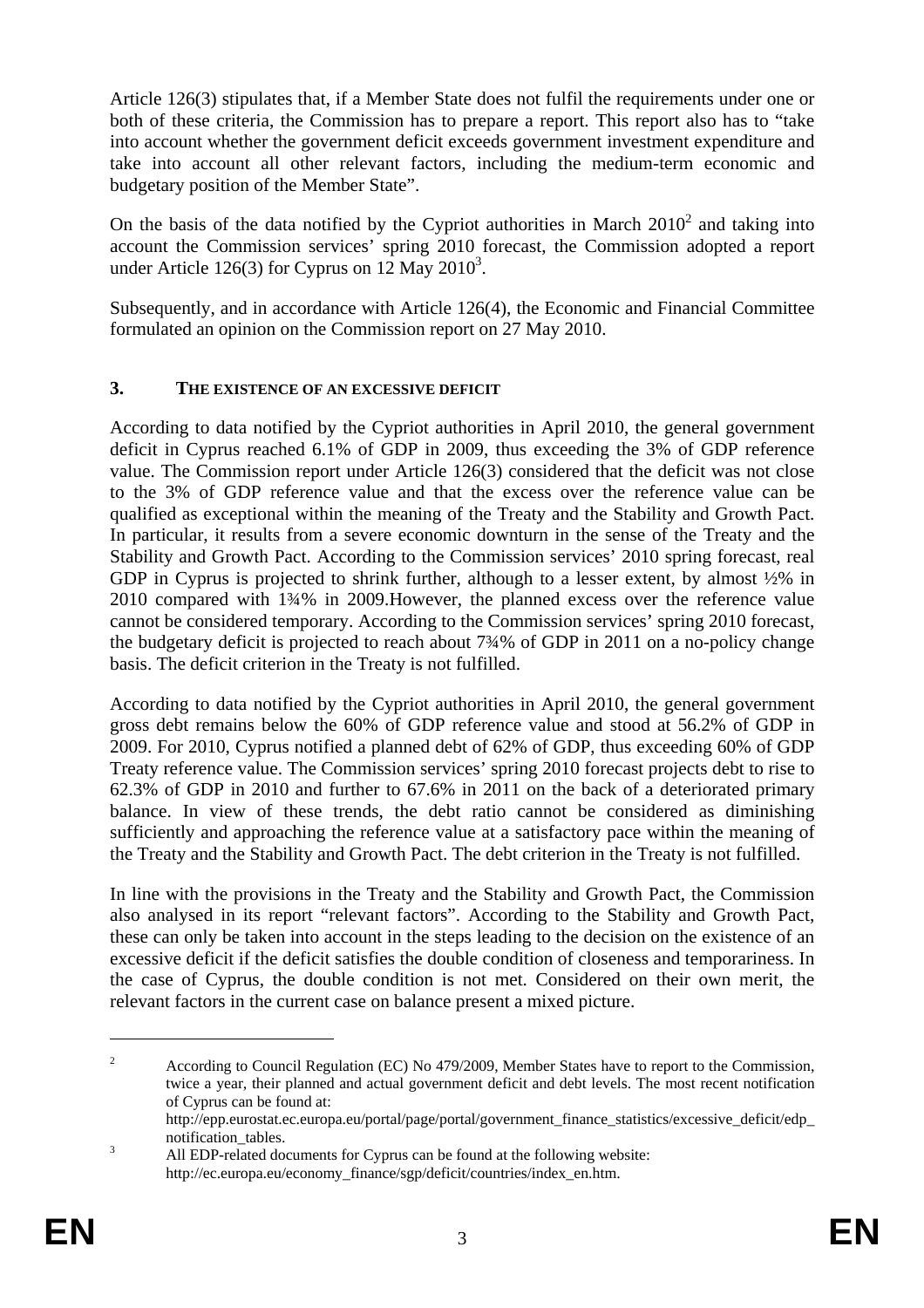Article 126(3) stipulates that, if a Member State does not fulfil the requirements under one or both of these criteria, the Commission has to prepare a report. This report also has to "take into account whether the government deficit exceeds government investment expenditure and take into account all other relevant factors, including the medium-term economic and budgetary position of the Member State".

On the basis of the data notified by the Cypriot authorities in March  $2010<sup>2</sup>$  and taking into account the Commission services' spring 2010 forecast, the Commission adopted a report under Article 126(3) for Cyprus on  $12$  May 2010<sup>3</sup>.

Subsequently, and in accordance with Article 126(4), the Economic and Financial Committee formulated an opinion on the Commission report on 27 May 2010.

### **3. THE EXISTENCE OF AN EXCESSIVE DEFICIT**

According to data notified by the Cypriot authorities in April 2010, the general government deficit in Cyprus reached 6.1% of GDP in 2009, thus exceeding the 3% of GDP reference value. The Commission report under Article 126(3) considered that the deficit was not close to the 3% of GDP reference value and that the excess over the reference value can be qualified as exceptional within the meaning of the Treaty and the Stability and Growth Pact. In particular, it results from a severe economic downturn in the sense of the Treaty and the Stability and Growth Pact. According to the Commission services' 2010 spring forecast, real GDP in Cyprus is projected to shrink further, although to a lesser extent, by almost ½% in 2010 compared with 1¾% in 2009.However, the planned excess over the reference value cannot be considered temporary. According to the Commission services' spring 2010 forecast, the budgetary deficit is projected to reach about 7¾% of GDP in 2011 on a no-policy change basis. The deficit criterion in the Treaty is not fulfilled.

According to data notified by the Cypriot authorities in April 2010, the general government gross debt remains below the 60% of GDP reference value and stood at 56.2% of GDP in 2009. For 2010, Cyprus notified a planned debt of 62% of GDP, thus exceeding 60% of GDP Treaty reference value. The Commission services' spring 2010 forecast projects debt to rise to 62.3% of GDP in 2010 and further to 67.6% in 2011 on the back of a deteriorated primary balance. In view of these trends, the debt ratio cannot be considered as diminishing sufficiently and approaching the reference value at a satisfactory pace within the meaning of the Treaty and the Stability and Growth Pact. The debt criterion in the Treaty is not fulfilled.

In line with the provisions in the Treaty and the Stability and Growth Pact, the Commission also analysed in its report "relevant factors". According to the Stability and Growth Pact, these can only be taken into account in the steps leading to the decision on the existence of an excessive deficit if the deficit satisfies the double condition of closeness and temporariness. In the case of Cyprus, the double condition is not met. Considered on their own merit, the relevant factors in the current case on balance present a mixed picture.

1

<sup>2</sup> According to Council Regulation (EC) No 479/2009, Member States have to report to the Commission, twice a year, their planned and actual government deficit and debt levels. The most recent notification of Cyprus can be found at:

[http://epp.eurostat.ec.europa.eu/portal/page/portal/government\\_finance\\_statistics/excessive\\_deficit/edp\\_](http://epp.eurostat.ec.europa.eu/portal/page/portal/government_finance_statistics/excessive_deficit/edp_notification_tables) notification\_tables.

All EDP-related documents for Cyprus can be found at the following website: [http://ec.europa.eu/economy\\_finance/sgp/deficit/countries/index\\_en.htm.](http://ec.europa.eu/economy_finance/sgp/deficit/countries/index_en.htm)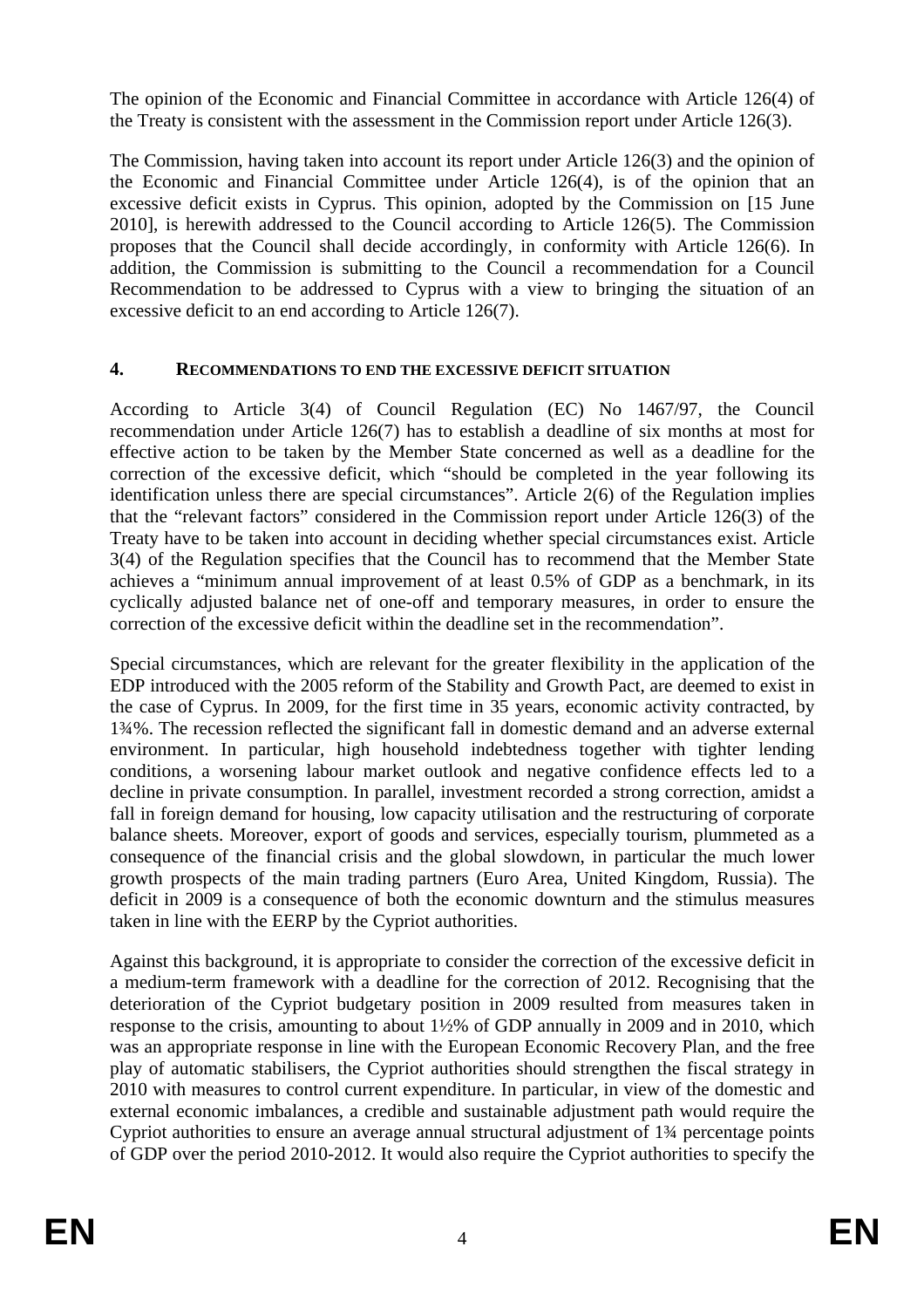The opinion of the Economic and Financial Committee in accordance with Article 126(4) of the Treaty is consistent with the assessment in the Commission report under Article 126(3).

The Commission, having taken into account its report under Article 126(3) and the opinion of the Economic and Financial Committee under Article 126(4), is of the opinion that an excessive deficit exists in Cyprus. This opinion, adopted by the Commission on [15 June 2010], is herewith addressed to the Council according to Article 126(5). The Commission proposes that the Council shall decide accordingly, in conformity with Article 126(6). In addition, the Commission is submitting to the Council a recommendation for a Council Recommendation to be addressed to Cyprus with a view to bringing the situation of an excessive deficit to an end according to Article 126(7).

# **4. RECOMMENDATIONS TO END THE EXCESSIVE DEFICIT SITUATION**

According to Article 3(4) of Council Regulation (EC) No 1467/97, the Council recommendation under Article 126(7) has to establish a deadline of six months at most for effective action to be taken by the Member State concerned as well as a deadline for the correction of the excessive deficit, which "should be completed in the year following its identification unless there are special circumstances". Article 2(6) of the Regulation implies that the "relevant factors" considered in the Commission report under Article 126(3) of the Treaty have to be taken into account in deciding whether special circumstances exist. Article 3(4) of the Regulation specifies that the Council has to recommend that the Member State achieves a "minimum annual improvement of at least 0.5% of GDP as a benchmark, in its cyclically adjusted balance net of one-off and temporary measures, in order to ensure the correction of the excessive deficit within the deadline set in the recommendation".

Special circumstances, which are relevant for the greater flexibility in the application of the EDP introduced with the 2005 reform of the Stability and Growth Pact, are deemed to exist in the case of Cyprus. In 2009, for the first time in 35 years, economic activity contracted, by 1¾%. The recession reflected the significant fall in domestic demand and an adverse external environment. In particular, high household indebtedness together with tighter lending conditions, a worsening labour market outlook and negative confidence effects led to a decline in private consumption. In parallel, investment recorded a strong correction, amidst a fall in foreign demand for housing, low capacity utilisation and the restructuring of corporate balance sheets. Moreover, export of goods and services, especially tourism, plummeted as a consequence of the financial crisis and the global slowdown, in particular the much lower growth prospects of the main trading partners (Euro Area, United Kingdom, Russia). The deficit in 2009 is a consequence of both the economic downturn and the stimulus measures taken in line with the EERP by the Cypriot authorities.

Against this background, it is appropriate to consider the correction of the excessive deficit in a medium-term framework with a deadline for the correction of 2012. Recognising that the deterioration of the Cypriot budgetary position in 2009 resulted from measures taken in response to the crisis, amounting to about 1½% of GDP annually in 2009 and in 2010, which was an appropriate response in line with the European Economic Recovery Plan, and the free play of automatic stabilisers, the Cypriot authorities should strengthen the fiscal strategy in 2010 with measures to control current expenditure. In particular, in view of the domestic and external economic imbalances, a credible and sustainable adjustment path would require the Cypriot authorities to ensure an average annual structural adjustment of 1¾ percentage points of GDP over the period 2010-2012. It would also require the Cypriot authorities to specify the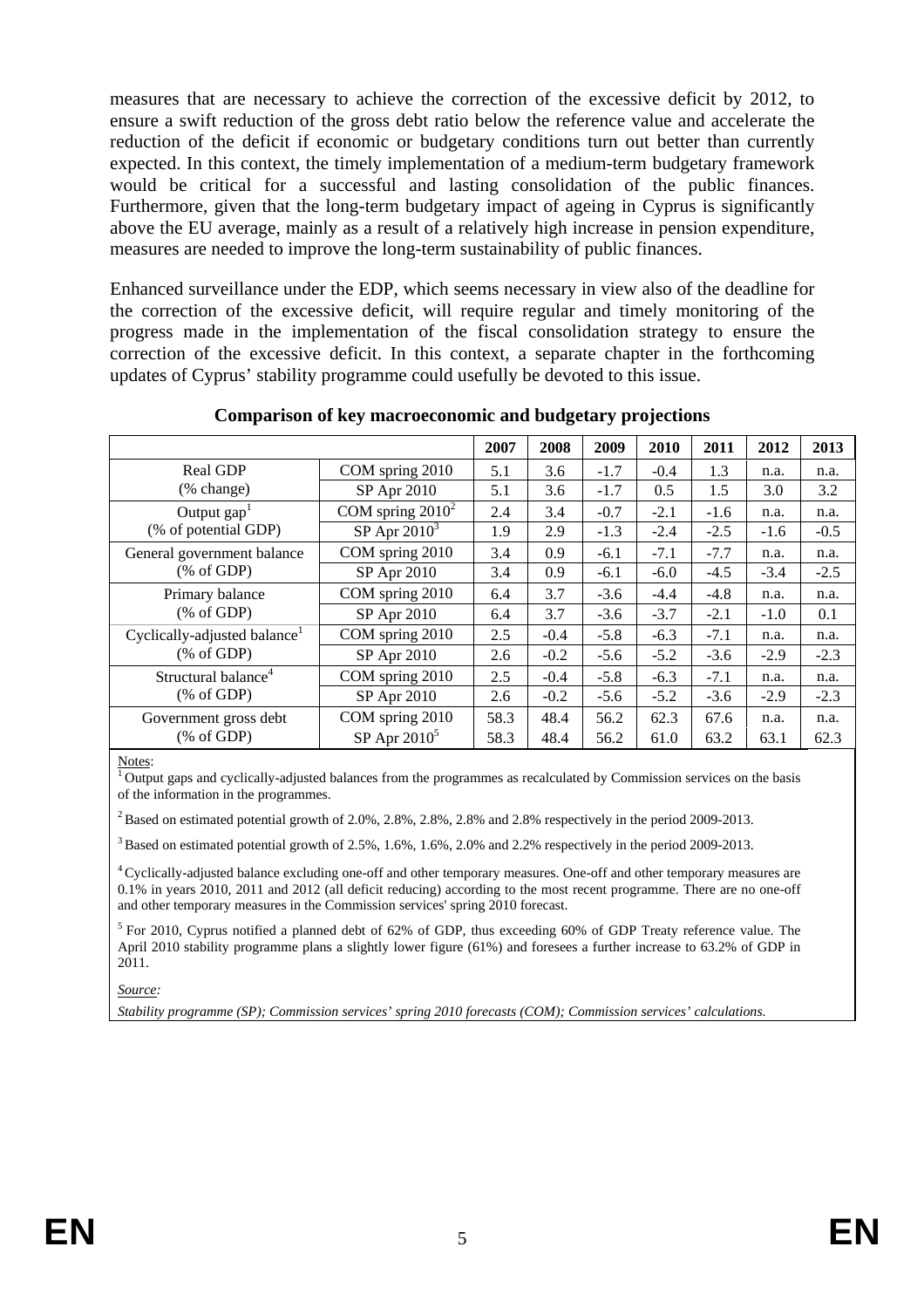measures that are necessary to achieve the correction of the excessive deficit by 2012, to ensure a swift reduction of the gross debt ratio below the reference value and accelerate the reduction of the deficit if economic or budgetary conditions turn out better than currently expected. In this context, the timely implementation of a medium-term budgetary framework would be critical for a successful and lasting consolidation of the public finances. Furthermore, given that the long-term budgetary impact of ageing in Cyprus is significantly above the EU average, mainly as a result of a relatively high increase in pension expenditure, measures are needed to improve the long-term sustainability of public finances.

Enhanced surveillance under the EDP, which seems necessary in view also of the deadline for the correction of the excessive deficit, will require regular and timely monitoring of the progress made in the implementation of the fiscal consolidation strategy to ensure the correction of the excessive deficit. In this context, a separate chapter in the forthcoming updates of Cyprus' stability programme could usefully be devoted to this issue.

|                                                      |                     | 2007 | 2008   | 2009   | 2010   | 2011   | 2012   | 2013   |
|------------------------------------------------------|---------------------|------|--------|--------|--------|--------|--------|--------|
| <b>Real GDP</b><br>(% change)                        | COM spring 2010     | 5.1  | 3.6    | $-1.7$ | $-0.4$ | 1.3    | n.a.   | n.a.   |
|                                                      | SP Apr 2010         | 5.1  | 3.6    | $-1.7$ | 0.5    | 1.5    | 3.0    | 3.2    |
| Output $\text{gap}^1$<br>(% of potential GDP)        | COM spring $2010^2$ | 2.4  | 3.4    | $-0.7$ | $-2.1$ | $-1.6$ | n.a.   | n.a.   |
|                                                      | SP Apr $2010^3$     | 1.9  | 2.9    | $-1.3$ | $-2.4$ | $-2.5$ | $-1.6$ | $-0.5$ |
| General government balance<br>% of GDP               | COM spring 2010     | 3.4  | 0.9    | $-6.1$ | $-7.1$ | $-7.7$ | n.a.   | n.a.   |
|                                                      | SP Apr 2010         | 3.4  | 0.9    | $-6.1$ | $-6.0$ | $-4.5$ | $-3.4$ | $-2.5$ |
| Primary balance<br>$(% \mathcal{L}_{0}$ (% of GDP)   | COM spring 2010     | 6.4  | 3.7    | $-3.6$ | $-4.4$ | $-4.8$ | n.a.   | n.a.   |
|                                                      | SP Apr 2010         | 6.4  | 3.7    | $-3.6$ | $-3.7$ | $-2.1$ | $-1.0$ | 0.1    |
| Cyclically-adjusted balance <sup>1</sup><br>% of GDP | COM spring 2010     | 2.5  | $-0.4$ | $-5.8$ | $-6.3$ | $-7.1$ | n.a.   | n.a.   |
|                                                      | SP Apr 2010         | 2.6  | $-0.2$ | $-5.6$ | $-5.2$ | $-3.6$ | $-2.9$ | $-2.3$ |
| Structural balance <sup>4</sup><br>% of GDP          | COM spring 2010     | 2.5  | $-0.4$ | $-5.8$ | $-6.3$ | $-7.1$ | n.a.   | n.a.   |
|                                                      | SP Apr 2010         | 2.6  | $-0.2$ | $-5.6$ | $-5.2$ | $-3.6$ | $-2.9$ | $-2.3$ |
| Government gross debt<br>% of GDP                    | COM spring 2010     | 58.3 | 48.4   | 56.2   | 62.3   | 67.6   | n.a.   | n.a.   |
|                                                      | SP Apr $2010^5$     | 58.3 | 48.4   | 56.2   | 61.0   | 63.2   | 63.1   | 62.3   |

**Comparison of key macroeconomic and budgetary projections** 

Notes:<br> $\frac{1}{1}$  Output gaps and cyclically-adjusted balances from the programmes as recalculated by Commission services on the basis of the information in the programmes.

<sup>2</sup> Based on estimated potential growth of 2.0%, 2.8%, 2.8%, 2.8% and 2.8% respectively in the period 2009-2013.

3 Based on estimated potential growth of 2.5%, 1.6%, 1.6%, 2.0% and 2.2% respectively in the period 2009-2013.

4 Cyclically-adjusted balance excluding one-off and other temporary measures. One-off and other temporary measures are 0.1% in years 2010, 2011 and 2012 (all deficit reducing) according to the most recent programme. There are no one-off and other temporary measures in the Commission services' spring 2010 forecast.

<sup>5</sup> For 2010, Cyprus notified a planned debt of 62% of GDP, thus exceeding 60% of GDP Treaty reference value. The April 2010 stability programme plans a slightly lower figure (61%) and foresees a further increase to 63.2% of GDP in 2011.

*Source:* 

*Stability programme (SP); Commission services' spring 2010 forecasts (COM); Commission services' calculations.*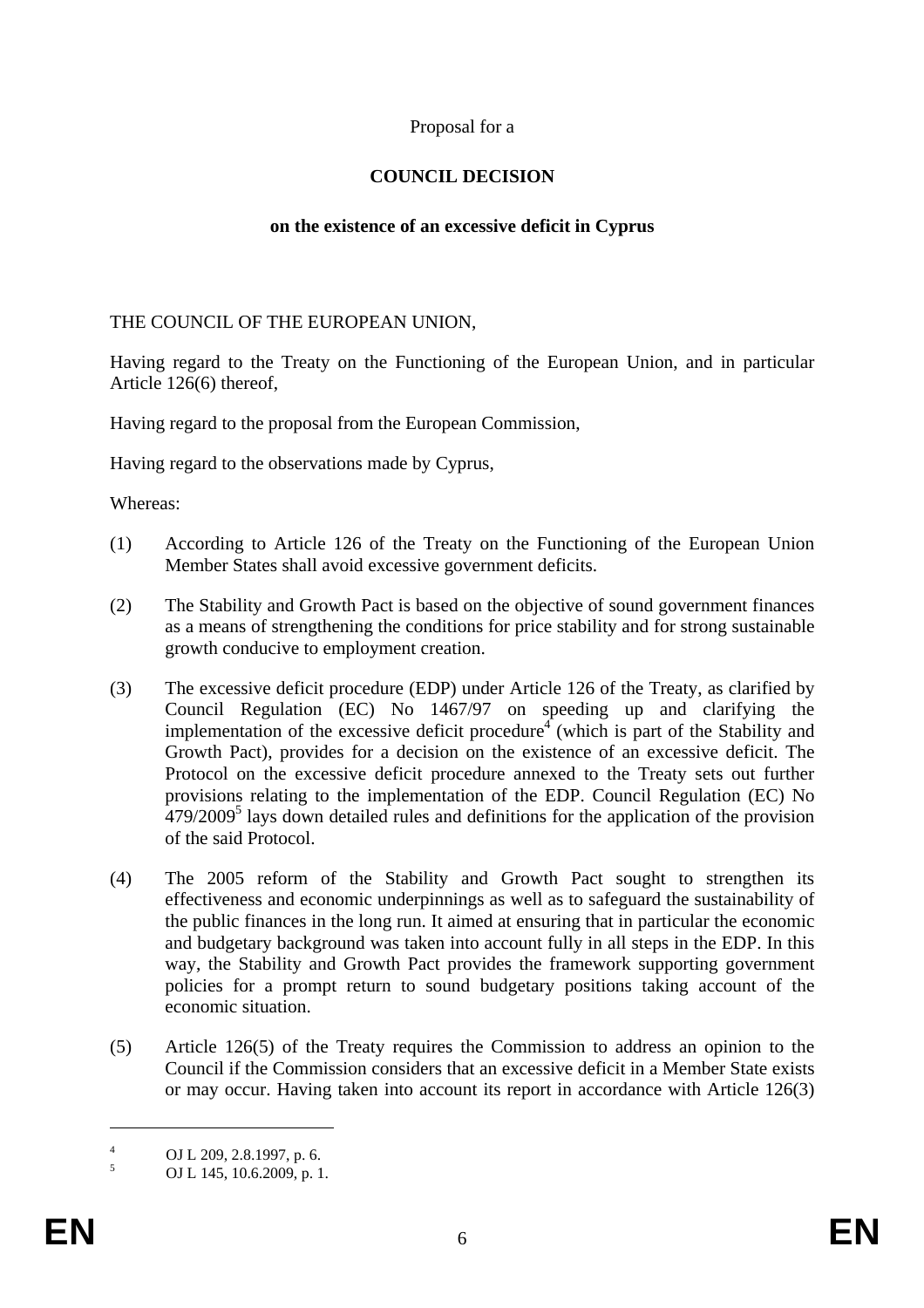### Proposal for a

### **COUNCIL DECISION**

#### **on the existence of an excessive deficit in Cyprus**

#### THE COUNCIL OF THE EUROPEAN UNION,

Having regard to the Treaty on the Functioning of the European Union, and in particular Article 126(6) thereof,

Having regard to the proposal from the European Commission,

Having regard to the observations made by Cyprus,

Whereas:

- (1) According to Article 126 of the Treaty on the Functioning of the European Union Member States shall avoid excessive government deficits.
- (2) The Stability and Growth Pact is based on the objective of sound government finances as a means of strengthening the conditions for price stability and for strong sustainable growth conducive to employment creation.
- (3) The excessive deficit procedure (EDP) under Article 126 of the Treaty, as clarified by Council Regulation (EC) No 1467/97 on speeding up and clarifying the implementation of the excessive deficit procedure<sup>4</sup> (which is part of the Stability and Growth Pact), provides for a decision on the existence of an excessive deficit. The Protocol on the excessive deficit procedure annexed to the Treaty sets out further provisions relating to the implementation of the EDP. Council Regulation (EC) No  $479/2009<sup>5</sup>$  lays down detailed rules and definitions for the application of the provision of the said Protocol.
- (4) The 2005 reform of the Stability and Growth Pact sought to strengthen its effectiveness and economic underpinnings as well as to safeguard the sustainability of the public finances in the long run. It aimed at ensuring that in particular the economic and budgetary background was taken into account fully in all steps in the EDP. In this way, the Stability and Growth Pact provides the framework supporting government policies for a prompt return to sound budgetary positions taking account of the economic situation.
- (5) Article 126(5) of the Treaty requires the Commission to address an opinion to the Council if the Commission considers that an excessive deficit in a Member State exists or may occur. Having taken into account its report in accordance with Article 126(3)

<u>.</u>

<sup>4</sup> OJ L 209, 2.8.1997, p. 6.

<sup>5</sup> OJ L 145, 10.6.2009, p. 1.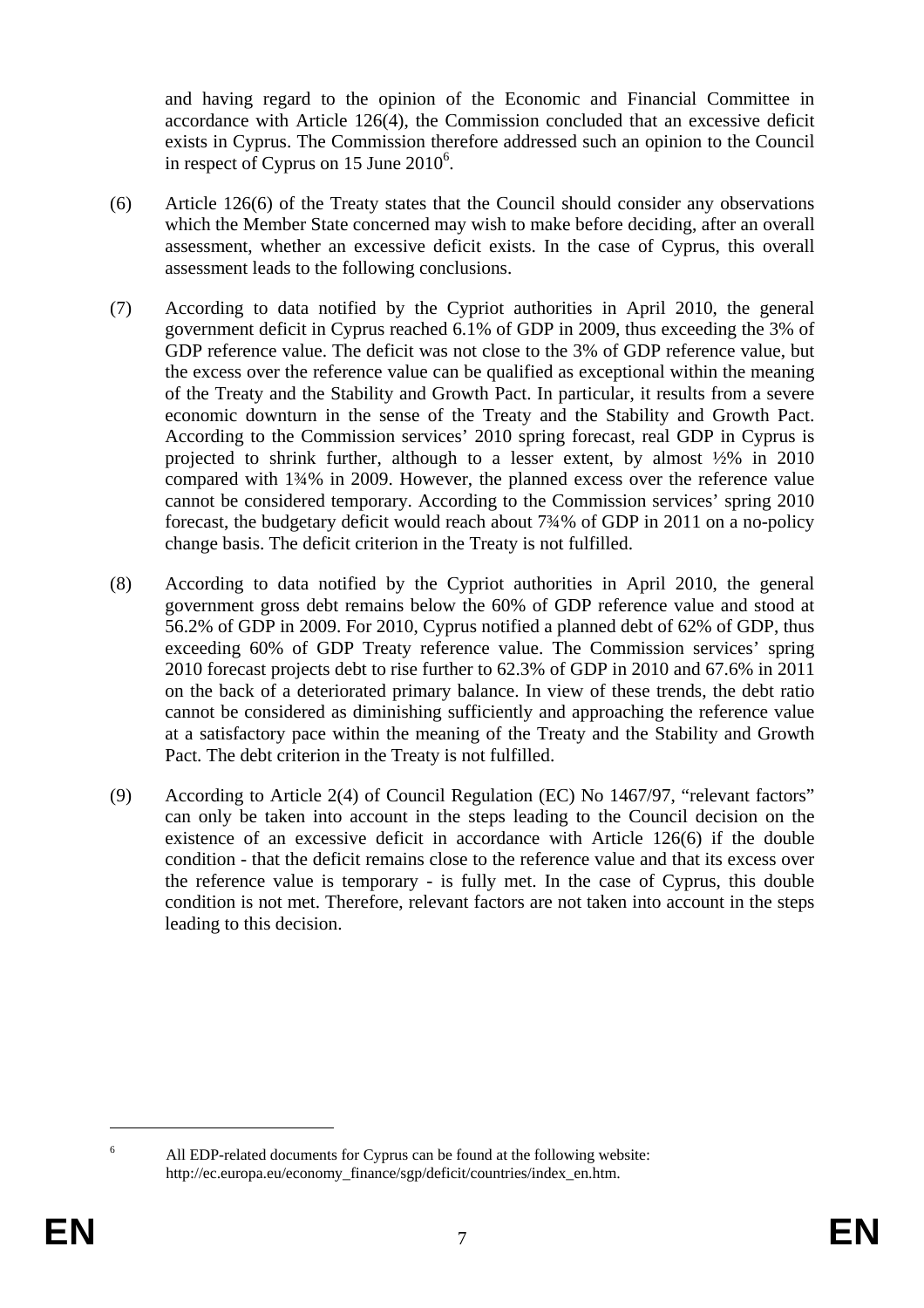and having regard to the opinion of the Economic and Financial Committee in accordance with Article 126(4), the Commission concluded that an excessive deficit exists in Cyprus. The Commission therefore addressed such an opinion to the Council in respect of Cyprus on 15 June  $2010^6$ .

- (6) Article 126(6) of the Treaty states that the Council should consider any observations which the Member State concerned may wish to make before deciding, after an overall assessment, whether an excessive deficit exists. In the case of Cyprus, this overall assessment leads to the following conclusions.
- (7) According to data notified by the Cypriot authorities in April 2010, the general government deficit in Cyprus reached 6.1% of GDP in 2009, thus exceeding the 3% of GDP reference value. The deficit was not close to the 3% of GDP reference value, but the excess over the reference value can be qualified as exceptional within the meaning of the Treaty and the Stability and Growth Pact. In particular, it results from a severe economic downturn in the sense of the Treaty and the Stability and Growth Pact. According to the Commission services' 2010 spring forecast, real GDP in Cyprus is projected to shrink further, although to a lesser extent, by almost ½% in 2010 compared with 1¾% in 2009. However, the planned excess over the reference value cannot be considered temporary. According to the Commission services' spring 2010 forecast, the budgetary deficit would reach about 7¾% of GDP in 2011 on a no-policy change basis. The deficit criterion in the Treaty is not fulfilled.
- (8) According to data notified by the Cypriot authorities in April 2010, the general government gross debt remains below the 60% of GDP reference value and stood at 56.2% of GDP in 2009. For 2010, Cyprus notified a planned debt of 62% of GDP, thus exceeding 60% of GDP Treaty reference value. The Commission services' spring 2010 forecast projects debt to rise further to 62.3% of GDP in 2010 and 67.6% in 2011 on the back of a deteriorated primary balance. In view of these trends, the debt ratio cannot be considered as diminishing sufficiently and approaching the reference value at a satisfactory pace within the meaning of the Treaty and the Stability and Growth Pact. The debt criterion in the Treaty is not fulfilled.
- (9) According to Article 2(4) of Council Regulation (EC) No 1467/97, "relevant factors" can only be taken into account in the steps leading to the Council decision on the existence of an excessive deficit in accordance with Article 126(6) if the double condition - that the deficit remains close to the reference value and that its excess over the reference value is temporary - is fully met. In the case of Cyprus, this double condition is not met. Therefore, relevant factors are not taken into account in the steps leading to this decision.

<u>.</u> 6

All EDP-related documents for Cyprus can be found at the following website: [http://ec.europa.eu/economy\\_finance/sgp/deficit/countries/index\\_en.htm.](http://ec.europa.eu/economy_finance/sgp/deficit/countries/index_en.htm)